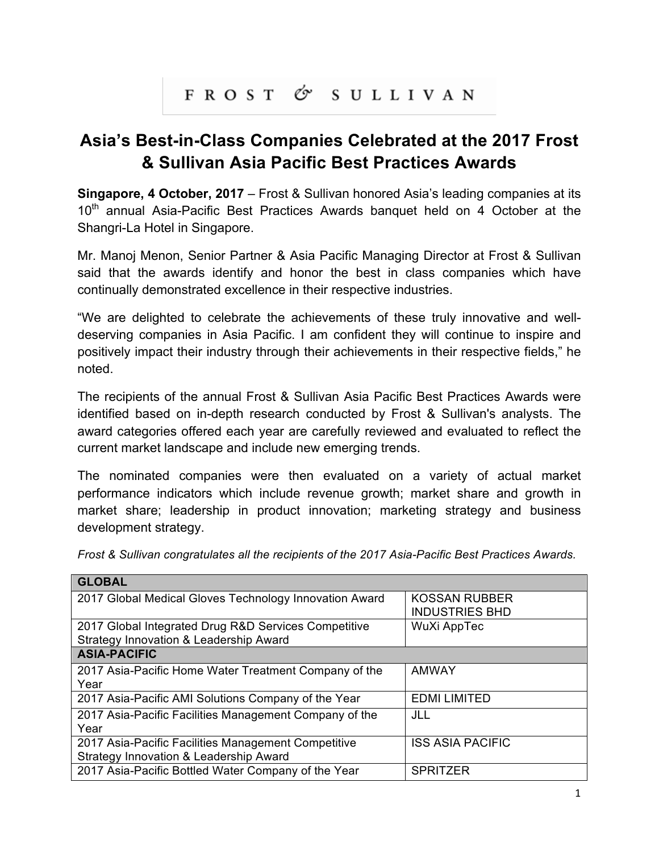## FROST & SULLIVAN

## **Asia's Best-in-Class Companies Celebrated at the 2017 Frost & Sullivan Asia Pacific Best Practices Awards**

**Singapore, 4 October, 2017** – Frost & Sullivan honored Asia's leading companies at its 10<sup>th</sup> annual Asia-Pacific Best Practices Awards banquet held on 4 October at the Shangri-La Hotel in Singapore.

Mr. Manoj Menon, Senior Partner & Asia Pacific Managing Director at Frost & Sullivan said that the awards identify and honor the best in class companies which have continually demonstrated excellence in their respective industries.

"We are delighted to celebrate the achievements of these truly innovative and welldeserving companies in Asia Pacific. I am confident they will continue to inspire and positively impact their industry through their achievements in their respective fields," he noted.

The recipients of the annual Frost & Sullivan Asia Pacific Best Practices Awards were identified based on in-depth research conducted by Frost & Sullivan's analysts. The award categories offered each year are carefully reviewed and evaluated to reflect the current market landscape and include new emerging trends.

The nominated companies were then evaluated on a variety of actual market performance indicators which include revenue growth; market share and growth in market share; leadership in product innovation; marketing strategy and business development strategy.

| <b>GLOBAL</b>                                          |                                               |
|--------------------------------------------------------|-----------------------------------------------|
| 2017 Global Medical Gloves Technology Innovation Award | <b>KOSSAN RUBBER</b><br><b>INDUSTRIES BHD</b> |
| 2017 Global Integrated Drug R&D Services Competitive   | WuXi AppTec                                   |
| Strategy Innovation & Leadership Award                 |                                               |
| <b>ASIA-PACIFIC</b>                                    |                                               |
| 2017 Asia-Pacific Home Water Treatment Company of the  | <b>AMWAY</b>                                  |
| Year                                                   |                                               |
| 2017 Asia-Pacific AMI Solutions Company of the Year    | <b>EDMI LIMITED</b>                           |
| 2017 Asia-Pacific Facilities Management Company of the | JLL                                           |
| Year                                                   |                                               |
| 2017 Asia-Pacific Facilities Management Competitive    | <b>ISS ASIA PACIFIC</b>                       |
| Strategy Innovation & Leadership Award                 |                                               |
| 2017 Asia-Pacific Bottled Water Company of the Year    | <b>SPRITZER</b>                               |

*Frost & Sullivan congratulates all the recipients of the 2017 Asia-Pacific Best Practices Awards.*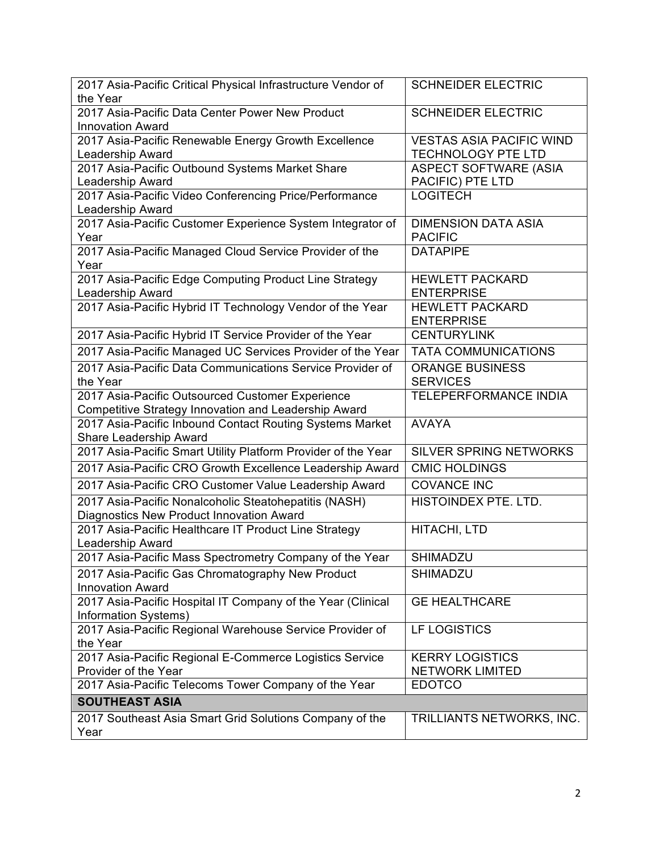| 2017 Asia-Pacific Critical Physical Infrastructure Vendor of                       | <b>SCHNEIDER ELECTRIC</b>                   |
|------------------------------------------------------------------------------------|---------------------------------------------|
| the Year                                                                           |                                             |
| 2017 Asia-Pacific Data Center Power New Product<br><b>Innovation Award</b>         | <b>SCHNEIDER ELECTRIC</b>                   |
| 2017 Asia-Pacific Renewable Energy Growth Excellence                               | <b>VESTAS ASIA PACIFIC WIND</b>             |
| Leadership Award                                                                   | <b>TECHNOLOGY PTE LTD</b>                   |
| 2017 Asia-Pacific Outbound Systems Market Share                                    | <b>ASPECT SOFTWARE (ASIA</b>                |
| Leadership Award                                                                   | PACIFIC) PTE LTD                            |
| 2017 Asia-Pacific Video Conferencing Price/Performance<br>Leadership Award         | <b>LOGITECH</b>                             |
| 2017 Asia-Pacific Customer Experience System Integrator of                         | <b>DIMENSION DATA ASIA</b>                  |
| Year                                                                               | <b>PACIFIC</b>                              |
| 2017 Asia-Pacific Managed Cloud Service Provider of the                            | <b>DATAPIPE</b>                             |
| Year                                                                               |                                             |
| 2017 Asia-Pacific Edge Computing Product Line Strategy                             | <b>HEWLETT PACKARD</b>                      |
| Leadership Award                                                                   | <b>ENTERPRISE</b>                           |
| 2017 Asia-Pacific Hybrid IT Technology Vendor of the Year                          | <b>HEWLETT PACKARD</b><br><b>ENTERPRISE</b> |
| 2017 Asia-Pacific Hybrid IT Service Provider of the Year                           | <b>CENTURYLINK</b>                          |
| 2017 Asia-Pacific Managed UC Services Provider of the Year                         | <b>TATA COMMUNICATIONS</b>                  |
| 2017 Asia-Pacific Data Communications Service Provider of                          | <b>ORANGE BUSINESS</b>                      |
| the Year                                                                           | <b>SERVICES</b>                             |
| 2017 Asia-Pacific Outsourced Customer Experience                                   | TELEPERFORMANCE INDIA                       |
| Competitive Strategy Innovation and Leadership Award                               |                                             |
| 2017 Asia-Pacific Inbound Contact Routing Systems Market<br>Share Leadership Award | <b>AVAYA</b>                                |
| 2017 Asia-Pacific Smart Utility Platform Provider of the Year                      | <b>SILVER SPRING NETWORKS</b>               |
| 2017 Asia-Pacific CRO Growth Excellence Leadership Award                           | <b>CMIC HOLDINGS</b>                        |
| 2017 Asia-Pacific CRO Customer Value Leadership Award                              | <b>COVANCE INC</b>                          |
| 2017 Asia-Pacific Nonalcoholic Steatohepatitis (NASH)                              | HISTOINDEX PTE. LTD.                        |
| Diagnostics New Product Innovation Award                                           |                                             |
| 2017 Asia-Pacific Healthcare IT Product Line Strategy<br>Leadership Award          | HITACHI, LTD                                |
| 2017 Asia-Pacific Mass Spectrometry Company of the Year                            | SHIMADZU                                    |
| 2017 Asia-Pacific Gas Chromatography New Product                                   | SHIMADZU                                    |
| <b>Innovation Award</b>                                                            |                                             |
| 2017 Asia-Pacific Hospital IT Company of the Year (Clinical                        | <b>GE HEALTHCARE</b>                        |
| Information Systems)                                                               |                                             |
| 2017 Asia-Pacific Regional Warehouse Service Provider of                           | LF LOGISTICS                                |
| the Year                                                                           |                                             |
| 2017 Asia-Pacific Regional E-Commerce Logistics Service                            | <b>KERRY LOGISTICS</b>                      |
| Provider of the Year                                                               | <b>NETWORK LIMITED</b>                      |
| 2017 Asia-Pacific Telecoms Tower Company of the Year                               | <b>EDOTCO</b>                               |
| <b>SOUTHEAST ASIA</b>                                                              |                                             |
| 2017 Southeast Asia Smart Grid Solutions Company of the<br>Year                    | TRILLIANTS NETWORKS, INC.                   |